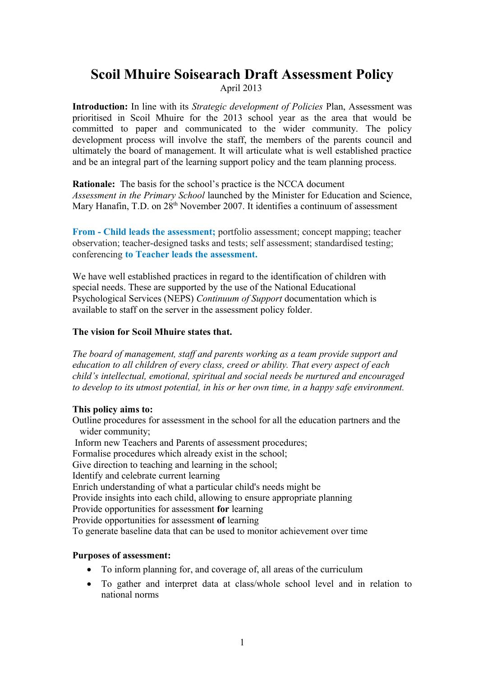# **Scoil Mhuire Soisearach Draft Assessment Policy** April 2013

**Introduction:** In line with its *Strategic development of Policies* Plan, Assessment was prioritised in Scoil Mhuire for the 2013 school year as the area that would be committed to paper and communicated to the wider community. The policy development process will involve the staff, the members of the parents council and ultimately the board of management. It will articulate what is well established practice and be an integral part of the learning support policy and the team planning process.

**Rationale:** The basis for the school's practice is the NCCA document *Assessment in the Primary School* launched by the Minister for Education and Science, Mary Hanafin, T.D. on 28<sup>th</sup> November 2007. It identifies a continuum of assessment

**From - Child leads the assessment;** portfolio assessment; concept mapping; teacher observation; teacher-designed tasks and tests; self assessment; standardised testing; conferencing **to Teacher leads the assessment.**

We have well established practices in regard to the identification of children with special needs. These are supported by the use of the National Educational Psychological Services (NEPS) *Continuum of Support* documentation which is available to staff on the server in the assessment policy folder.

### **The vision for Scoil Mhuire states that.**

*The board of management, staff and parents working as a team provide support and education to all children of every class, creed or ability. That every aspect of each child's intellectual, emotional, spiritual and social needs be nurtured and encouraged to develop to its utmost potential, in his or her own time, in a happy safe environment.*

### **This policy aims to:**

Outline procedures for assessment in the school for all the education partners and the wider community; Inform new Teachers and Parents of assessment procedures; Formalise procedures which already exist in the school; Give direction to teaching and learning in the school; Identify and celebrate current learning Enrich understanding of what a particular child's needs might be

Provide insights into each child, allowing to ensure appropriate planning

Provide opportunities for assessment **for** learning

Provide opportunities for assessment **of** learning

To generate baseline data that can be used to monitor achievement over time

### **Purposes of assessment:**

- To inform planning for, and coverage of, all areas of the curriculum
- To gather and interpret data at class/whole school level and in relation to national norms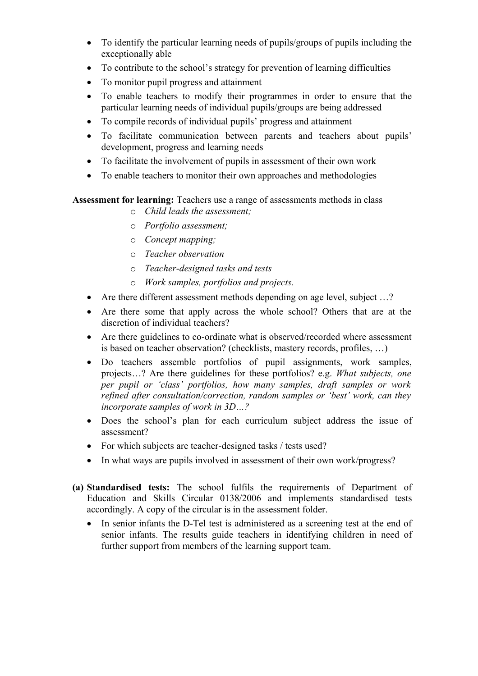- To identify the particular learning needs of pupils/groups of pupils including the exceptionally able
- To contribute to the school's strategy for prevention of learning difficulties
- To monitor pupil progress and attainment
- To enable teachers to modify their programmes in order to ensure that the particular learning needs of individual pupils/groups are being addressed
- To compile records of individual pupils' progress and attainment
- To facilitate communication between parents and teachers about pupils' development, progress and learning needs
- To facilitate the involvement of pupils in assessment of their own work
- To enable teachers to monitor their own approaches and methodologies

**Assessment for learning:** Teachers use a range of assessments methods in class

- o *Child leads the assessment;*
- o *Portfolio assessment;*
- o *Concept mapping;*
- o *Teacher observation*
- o *Teacher-designed tasks and tests*
- o *Work samples, portfolios and projects.*
- Are there different assessment methods depending on age level, subject ...?
- Are there some that apply across the whole school? Others that are at the discretion of individual teachers?
- Are there guidelines to co-ordinate what is observed/recorded where assessment is based on teacher observation? (checklists, mastery records, profiles, …)
- Do teachers assemble portfolios of pupil assignments, work samples, projects…? Are there guidelines for these portfolios? e.g. *What subjects, one per pupil or 'class' portfolios, how many samples, draft samples or work refined after consultation/correction, random samples or 'best' work, can they incorporate samples of work in 3D…?*
- Does the school's plan for each curriculum subject address the issue of assessment?
- For which subjects are teacher-designed tasks / tests used?
- In what ways are pupils involved in assessment of their own work/progress?
- **(a) Standardised tests:** The school fulfils the requirements of Department of Education and Skills Circular 0138/2006 and implements standardised tests accordingly. A copy of the circular is in the assessment folder.
	- In senior infants the D-Tel test is administered as a screening test at the end of senior infants. The results guide teachers in identifying children in need of further support from members of the learning support team.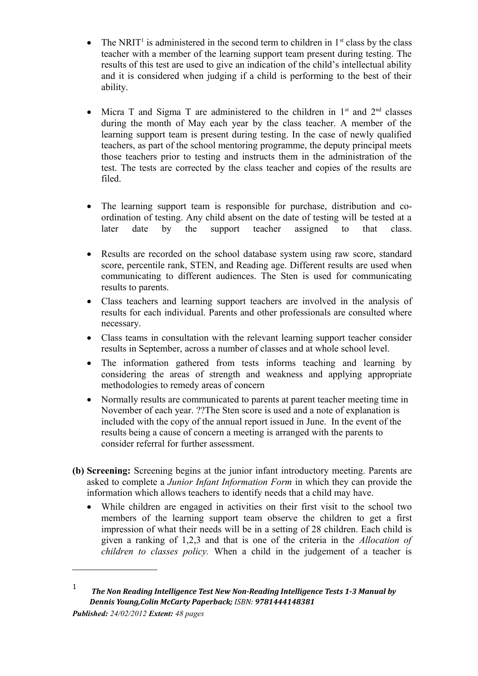- The NRIT<sup>[1](#page-2-0)</sup> is administered in the second term to children in  $1<sup>st</sup>$  class by the class teacher with a member of the learning support team present during testing. The results of this test are used to give an indication of the child's intellectual ability and it is considered when judging if a child is performing to the best of their ability.
- Micra T and Sigma T are administered to the children in  $1<sup>st</sup>$  and  $2<sup>nd</sup>$  classes during the month of May each year by the class teacher. A member of the learning support team is present during testing. In the case of newly qualified teachers, as part of the school mentoring programme, the deputy principal meets those teachers prior to testing and instructs them in the administration of the test. The tests are corrected by the class teacher and copies of the results are filed.
- The learning support team is responsible for purchase, distribution and coordination of testing. Any child absent on the date of testing will be tested at a later date by the support teacher assigned to that class.
- Results are recorded on the school database system using raw score, standard score, percentile rank, STEN, and Reading age. Different results are used when communicating to different audiences. The Sten is used for communicating results to parents.
- Class teachers and learning support teachers are involved in the analysis of results for each individual. Parents and other professionals are consulted where necessary.
- Class teams in consultation with the relevant learning support teacher consider results in September, across a number of classes and at whole school level.
- The information gathered from tests informs teaching and learning by considering the areas of strength and weakness and applying appropriate methodologies to remedy areas of concern
- Normally results are communicated to parents at parent teacher meeting time in November of each year. ??The Sten score is used and a note of explanation is included with the copy of the annual report issued in June. In the event of the results being a cause of concern a meeting is arranged with the parents to consider referral for further assessment.
- **(b) Screening:** Screening begins at the junior infant introductory meeting. Parents are asked to complete a *Junior Infant Information Form* in which they can provide the information which allows teachers to identify needs that a child may have.
	- While children are engaged in activities on their first visit to the school two members of the learning support team observe the children to get a first impression of what their needs will be in a setting of 28 children. Each child is given a ranking of 1,2,3 and that is one of the criteria in the *Allocation of children to classes policy.* When a child in the judgement of a teacher is

<span id="page-2-0"></span><sup>1</sup> *The Non Reading Intelligence Test New Non-Reading Intelligence Tests 1-3 Manual by Dennis Young,Colin McCarty Paperback; ISBN: 9781444148381*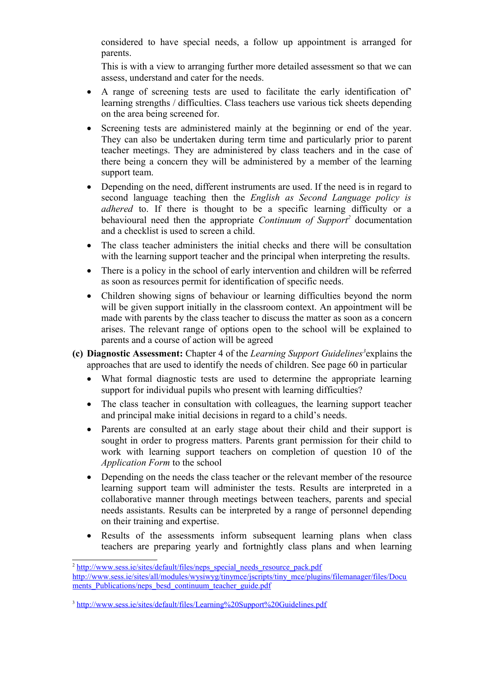considered to have special needs, a follow up appointment is arranged for parents.

This is with a view to arranging further more detailed assessment so that we can assess, understand and cater for the needs.

- A range of screening tests are used to facilitate the early identification of' learning strengths / difficulties. Class teachers use various tick sheets depending on the area being screened for.
- Screening tests are administered mainly at the beginning or end of the year. They can also be undertaken during term time and particularly prior to parent teacher meetings. They are administered by class teachers and in the case of there being a concern they will be administered by a member of the learning support team.
- Depending on the need, different instruments are used. If the need is in regard to second language teaching then the *English as Second Language policy is adhered* to. If there is thought to be a specific learning difficulty or a behavioural need then the appropriate *Continuum of Support[2](#page-3-0)* documentation and a checklist is used to screen a child.
- The class teacher administers the initial checks and there will be consultation with the learning support teacher and the principal when interpreting the results.
- There is a policy in the school of early intervention and children will be referred as soon as resources permit for identification of specific needs.
- Children showing signs of behaviour or learning difficulties beyond the norm will be given support initially in the classroom context. An appointment will be made with parents by the class teacher to discuss the matter as soon as a concern arises. The relevant range of options open to the school will be explained to parents and a course of action will be agreed
- **(c) Diagnostic Assessment:** Chapter 4 of the *Learning Support Guidelines[3](#page-3-1)* explains the approaches that are used to identify the needs of children. See page 60 in particular
	- What formal diagnostic tests are used to determine the appropriate learning support for individual pupils who present with learning difficulties?
	- The class teacher in consultation with colleagues, the learning support teacher and principal make initial decisions in regard to a child's needs.
	- Parents are consulted at an early stage about their child and their support is sought in order to progress matters. Parents grant permission for their child to work with learning support teachers on completion of question 10 of the *Application Form* to the school
	- Depending on the needs the class teacher or the relevant member of the resource learning support team will administer the tests. Results are interpreted in a collaborative manner through meetings between teachers, parents and special needs assistants. Results can be interpreted by a range of personnel depending on their training and expertise.
	- Results of the assessments inform subsequent learning plans when class teachers are preparing yearly and fortnightly class plans and when learning

<span id="page-3-0"></span><sup>&</sup>lt;sup>2</sup> [http://www.sess.ie/sites/default/files/neps\\_special\\_needs\\_resource\\_pack.pdf](http://www.sess.ie/sites/default/files/neps_special_needs_resource_pack.pdf)

[http://www.sess.ie/sites/all/modules/wysiwyg/tinymce/jscripts/tiny\\_mce/plugins/filemanager/files/Docu](http://www.sess.ie/sites/all/modules/wysiwyg/tinymce/jscripts/tiny_mce/plugins/filemanager/files/Documents_Publications/neps_besd_continuum_teacher_guide.pdf) ments Publications/neps\_besd\_continuum\_teacher\_guide.pdf

<span id="page-3-1"></span><sup>&</sup>lt;sup>3</sup> <http://www.sess.ie/sites/default/files/Learning%20Support%20Guidelines.pdf>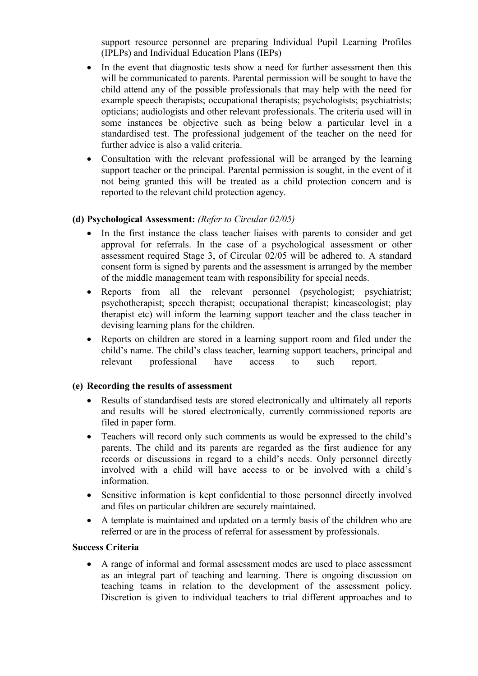support resource personnel are preparing Individual Pupil Learning Profiles (IPLPs) and Individual Education Plans (IEPs)

- In the event that diagnostic tests show a need for further assessment then this will be communicated to parents. Parental permission will be sought to have the child attend any of the possible professionals that may help with the need for example speech therapists; occupational therapists; psychologists; psychiatrists; opticians; audiologists and other relevant professionals. The criteria used will in some instances be objective such as being below a particular level in a standardised test. The professional judgement of the teacher on the need for further advice is also a valid criteria.
- Consultation with the relevant professional will be arranged by the learning support teacher or the principal. Parental permission is sought, in the event of it not being granted this will be treated as a child protection concern and is reported to the relevant child protection agency.

## **(d) Psychological Assessment:** *(Refer to Circular 02/05)*

- In the first instance the class teacher liaises with parents to consider and get approval for referrals. In the case of a psychological assessment or other assessment required Stage 3, of Circular 02/05 will be adhered to. A standard consent form is signed by parents and the assessment is arranged by the member of the middle management team with responsibility for special needs.
- Reports from all the relevant personnel (psychologist; psychiatrist; psychotherapist; speech therapist; occupational therapist; kineaseologist; play therapist etc) will inform the learning support teacher and the class teacher in devising learning plans for the children.
- Reports on children are stored in a learning support room and filed under the child's name. The child's class teacher, learning support teachers, principal and relevant professional have access to such report.

## **(e) Recording the results of assessment**

- Results of standardised tests are stored electronically and ultimately all reports and results will be stored electronically, currently commissioned reports are filed in paper form.
- Teachers will record only such comments as would be expressed to the child's parents. The child and its parents are regarded as the first audience for any records or discussions in regard to a child's needs. Only personnel directly involved with a child will have access to or be involved with a child's information.
- Sensitive information is kept confidential to those personnel directly involved and files on particular children are securely maintained.
- A template is maintained and updated on a termly basis of the children who are referred or are in the process of referral for assessment by professionals.

## **Success Criteria**

 A range of informal and formal assessment modes are used to place assessment as an integral part of teaching and learning. There is ongoing discussion on teaching teams in relation to the development of the assessment policy. Discretion is given to individual teachers to trial different approaches and to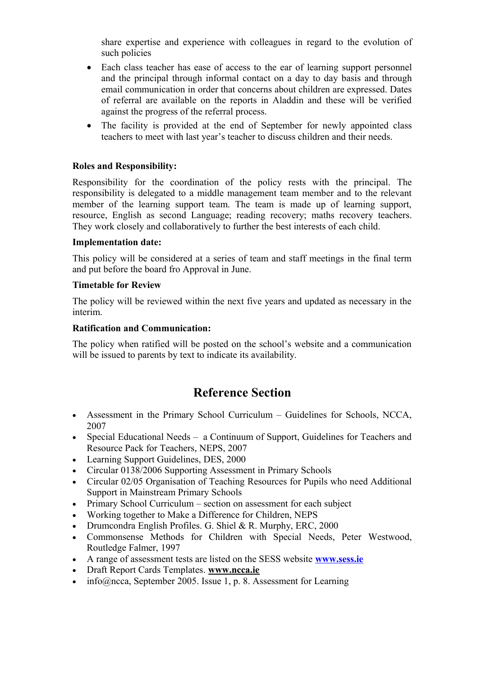share expertise and experience with colleagues in regard to the evolution of such policies

- Each class teacher has ease of access to the ear of learning support personnel and the principal through informal contact on a day to day basis and through email communication in order that concerns about children are expressed. Dates of referral are available on the reports in Aladdin and these will be verified against the progress of the referral process.
- The facility is provided at the end of September for newly appointed class teachers to meet with last year's teacher to discuss children and their needs.

## **Roles and Responsibility:**

Responsibility for the coordination of the policy rests with the principal. The responsibility is delegated to a middle management team member and to the relevant member of the learning support team. The team is made up of learning support, resource, English as second Language; reading recovery; maths recovery teachers. They work closely and collaboratively to further the best interests of each child.

### **Implementation date:**

This policy will be considered at a series of team and staff meetings in the final term and put before the board fro Approval in June.

## **Timetable for Review**

The policy will be reviewed within the next five years and updated as necessary in the interim.

### **Ratification and Communication:**

The policy when ratified will be posted on the school's website and a communication will be issued to parents by text to indicate its availability.

# **Reference Section**

- Assessment in the Primary School Curriculum Guidelines for Schools, NCCA, 2007
- Special Educational Needs a Continuum of Support, Guidelines for Teachers and Resource Pack for Teachers, NEPS, 2007
- Learning Support Guidelines, DES, 2000
- Circular 0138/2006 Supporting Assessment in Primary Schools
- Circular 02/05 Organisation of Teaching Resources for Pupils who need Additional Support in Mainstream Primary Schools
- Primary School Curriculum section on assessment for each subject
- Working together to Make a Difference for Children, NEPS
- Drumcondra English Profiles. G. Shiel & R. Murphy, ERC, 2000
- Commonsense Methods for Children with Special Needs, Peter Westwood, Routledge Falmer, 1997
- A range of assessment tests are listed on the SESS website **[www.sess.ie](http://www.sess.ie/)**
- Draft Report Cards Templates. **[www.ncca.ie](http://www.ncca.ie/)**
- info@ncca, September 2005. Issue 1, p. 8. Assessment for Learning